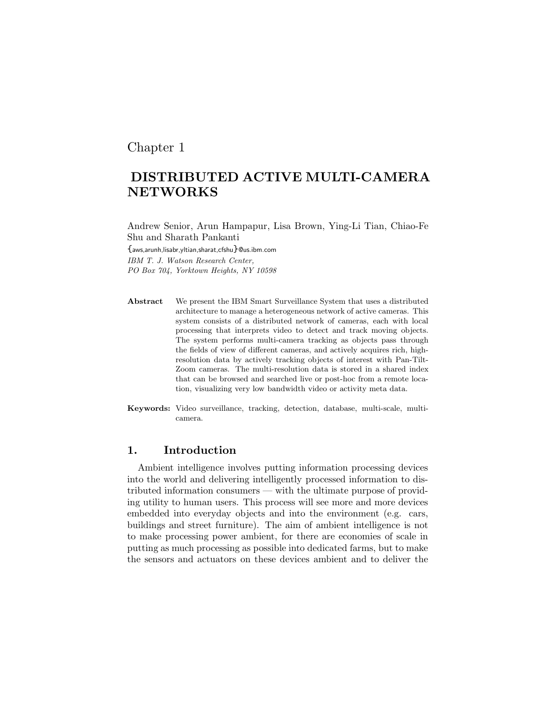## Chapter 1

# DISTRIBUTED ACTIVE MULTI-CAMERA NETWORKS

Andrew Senior, Arun Hampapur, Lisa Brown, Ying-Li Tian, Chiao-Fe Shu and Sharath Pankanti

{aws,arunh,lisabr,yltian,sharat,cfshu}@us.ibm.com IBM T. J. Watson Research Center, PO Box 704, Yorktown Heights, NY 10598

- Abstract We present the IBM Smart Surveillance System that uses a distributed architecture to manage a heterogeneous network of active cameras. This system consists of a distributed network of cameras, each with local processing that interprets video to detect and track moving objects. The system performs multi-camera tracking as objects pass through the fields of view of different cameras, and actively acquires rich, highresolution data by actively tracking objects of interest with Pan-Tilt-Zoom cameras. The multi-resolution data is stored in a shared index that can be browsed and searched live or post-hoc from a remote location, visualizing very low bandwidth video or activity meta data.
- Keywords: Video surveillance, tracking, detection, database, multi-scale, multicamera.

## 1. Introduction

Ambient intelligence involves putting information processing devices into the world and delivering intelligently processed information to distributed information consumers — with the ultimate purpose of providing utility to human users. This process will see more and more devices embedded into everyday objects and into the environment (e.g. cars, buildings and street furniture). The aim of ambient intelligence is not to make processing power ambient, for there are economies of scale in putting as much processing as possible into dedicated farms, but to make the sensors and actuators on these devices ambient and to deliver the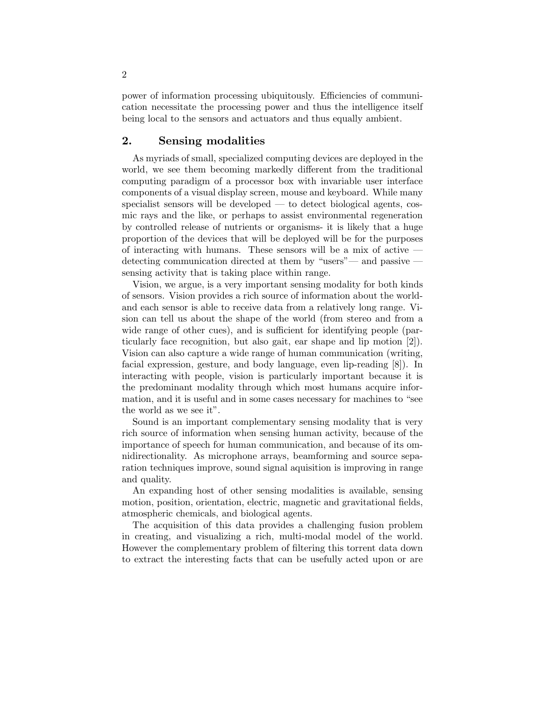power of information processing ubiquitously. Efficiencies of communication necessitate the processing power and thus the intelligence itself being local to the sensors and actuators and thus equally ambient.

#### 2. Sensing modalities

As myriads of small, specialized computing devices are deployed in the world, we see them becoming markedly different from the traditional computing paradigm of a processor box with invariable user interface components of a visual display screen, mouse and keyboard. While many specialist sensors will be developed — to detect biological agents, cosmic rays and the like, or perhaps to assist environmental regeneration by controlled release of nutrients or organisms- it is likely that a huge proportion of the devices that will be deployed will be for the purposes of interacting with humans. These sensors will be a mix of active detecting communication directed at them by "users"— and passive sensing activity that is taking place within range.

Vision, we argue, is a very important sensing modality for both kinds of sensors. Vision provides a rich source of information about the worldand each sensor is able to receive data from a relatively long range. Vision can tell us about the shape of the world (from stereo and from a wide range of other cues), and is sufficient for identifying people (particularly face recognition, but also gait, ear shape and lip motion [2]). Vision can also capture a wide range of human communication (writing, facial expression, gesture, and body language, even lip-reading [8]). In interacting with people, vision is particularly important because it is the predominant modality through which most humans acquire information, and it is useful and in some cases necessary for machines to "see the world as we see it".

Sound is an important complementary sensing modality that is very rich source of information when sensing human activity, because of the importance of speech for human communication, and because of its omnidirectionality. As microphone arrays, beamforming and source separation techniques improve, sound signal aquisition is improving in range and quality.

An expanding host of other sensing modalities is available, sensing motion, position, orientation, electric, magnetic and gravitational fields, atmospheric chemicals, and biological agents.

The acquisition of this data provides a challenging fusion problem in creating, and visualizing a rich, multi-modal model of the world. However the complementary problem of filtering this torrent data down to extract the interesting facts that can be usefully acted upon or are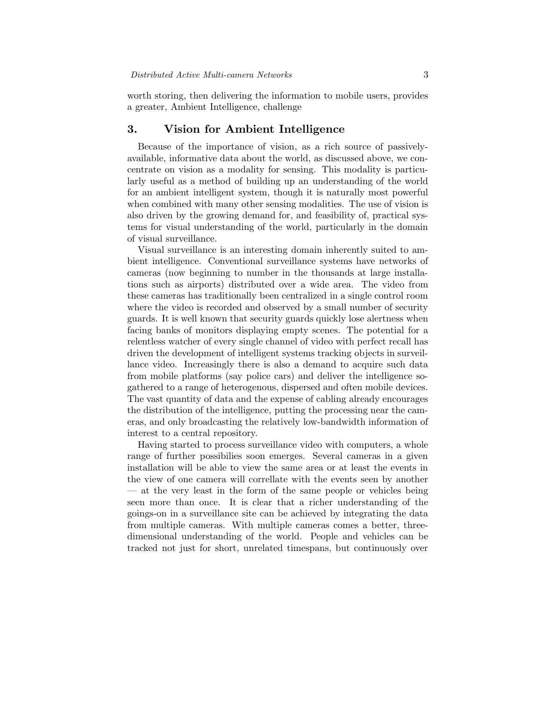worth storing, then delivering the information to mobile users, provides a greater, Ambient Intelligence, challenge

#### 3. Vision for Ambient Intelligence

Because of the importance of vision, as a rich source of passivelyavailable, informative data about the world, as discussed above, we concentrate on vision as a modality for sensing. This modality is particularly useful as a method of building up an understanding of the world for an ambient intelligent system, though it is naturally most powerful when combined with many other sensing modalities. The use of vision is also driven by the growing demand for, and feasibility of, practical systems for visual understanding of the world, particularly in the domain of visual surveillance.

Visual surveillance is an interesting domain inherently suited to ambient intelligence. Conventional surveillance systems have networks of cameras (now beginning to number in the thousands at large installations such as airports) distributed over a wide area. The video from these cameras has traditionally been centralized in a single control room where the video is recorded and observed by a small number of security guards. It is well known that security guards quickly lose alertness when facing banks of monitors displaying empty scenes. The potential for a relentless watcher of every single channel of video with perfect recall has driven the development of intelligent systems tracking objects in surveillance video. Increasingly there is also a demand to acquire such data from mobile platforms (say police cars) and deliver the intelligence sogathered to a range of heterogenous, dispersed and often mobile devices. The vast quantity of data and the expense of cabling already encourages the distribution of the intelligence, putting the processing near the cameras, and only broadcasting the relatively low-bandwidth information of interest to a central repository.

Having started to process surveillance video with computers, a whole range of further possibilies soon emerges. Several cameras in a given installation will be able to view the same area or at least the events in the view of one camera will correllate with the events seen by another — at the very least in the form of the same people or vehicles being seen more than once. It is clear that a richer understanding of the goings-on in a surveillance site can be achieved by integrating the data from multiple cameras. With multiple cameras comes a better, threedimensional understanding of the world. People and vehicles can be tracked not just for short, unrelated timespans, but continuously over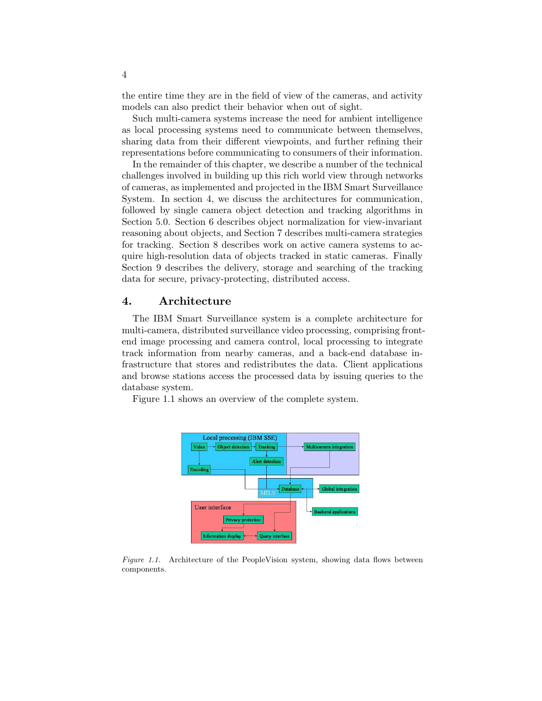the entire time they are in the field of view of the cameras, and activity models can also predict their behavior when out of sight.

Such multi-camera systems increase the need for ambient intelligence as local processing systems need to communicate between themselves, sharing data from their different viewpoints, and further refining their representations before communicating to consumers of their information.

In the remainder of this chapter, we describe a number of the technical challenges involved in building up this rich world view through networks of cameras, as implemented and projected in the IBM Smart Surveillance System. In section 4, we discuss the architectures for communication, followed by single camera object detection and tracking algorithms in Section 5.0. Section 6 describes object normalization for view-invariant reasoning about objects, and Section 7 describes multi-camera strategies for tracking. Section 8 describes work on active camera systems to acquire high-resolution data of objects tracked in static cameras. Finally Section 9 describes the delivery, storage and searching of the tracking data for secure, privacy-protecting, distributed access.

#### 4. Architecture

The IBM Smart Surveillance system is a complete architecture for multi-camera, distributed surveillance video processing, comprising frontend image processing and camera control, local processing to integrate track information from nearby cameras, and a back-end database infrastructure that stores and redistributes the data. Client applications and browse stations access the processed data by issuing queries to the database system.

Figure 1.1 shows an overview of the complete system.



Figure 1.1. Architecture of the PeopleVision system, showing data flows between components.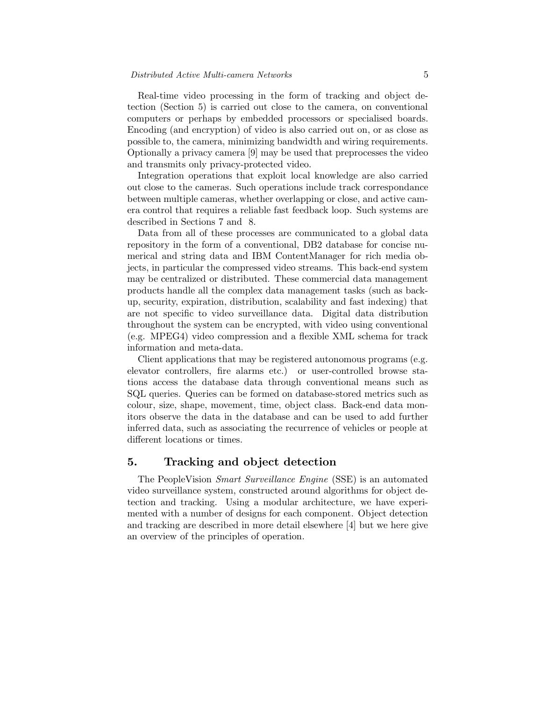Real-time video processing in the form of tracking and object detection (Section 5) is carried out close to the camera, on conventional computers or perhaps by embedded processors or specialised boards. Encoding (and encryption) of video is also carried out on, or as close as possible to, the camera, minimizing bandwidth and wiring requirements. Optionally a privacy camera [9] may be used that preprocesses the video and transmits only privacy-protected video.

Integration operations that exploit local knowledge are also carried out close to the cameras. Such operations include track correspondance between multiple cameras, whether overlapping or close, and active camera control that requires a reliable fast feedback loop. Such systems are described in Sections 7 and 8.

Data from all of these processes are communicated to a global data repository in the form of a conventional, DB2 database for concise numerical and string data and IBM ContentManager for rich media objects, in particular the compressed video streams. This back-end system may be centralized or distributed. These commercial data management products handle all the complex data management tasks (such as backup, security, expiration, distribution, scalability and fast indexing) that are not specific to video surveillance data. Digital data distribution throughout the system can be encrypted, with video using conventional (e.g. MPEG4) video compression and a flexible XML schema for track information and meta-data.

Client applications that may be registered autonomous programs (e.g. elevator controllers, fire alarms etc.) or user-controlled browse stations access the database data through conventional means such as SQL queries. Queries can be formed on database-stored metrics such as colour, size, shape, movement, time, object class. Back-end data monitors observe the data in the database and can be used to add further inferred data, such as associating the recurrence of vehicles or people at different locations or times.

## 5. Tracking and object detection

The PeopleVision Smart Surveillance Engine (SSE) is an automated video surveillance system, constructed around algorithms for object detection and tracking. Using a modular architecture, we have experimented with a number of designs for each component. Object detection and tracking are described in more detail elsewhere [4] but we here give an overview of the principles of operation.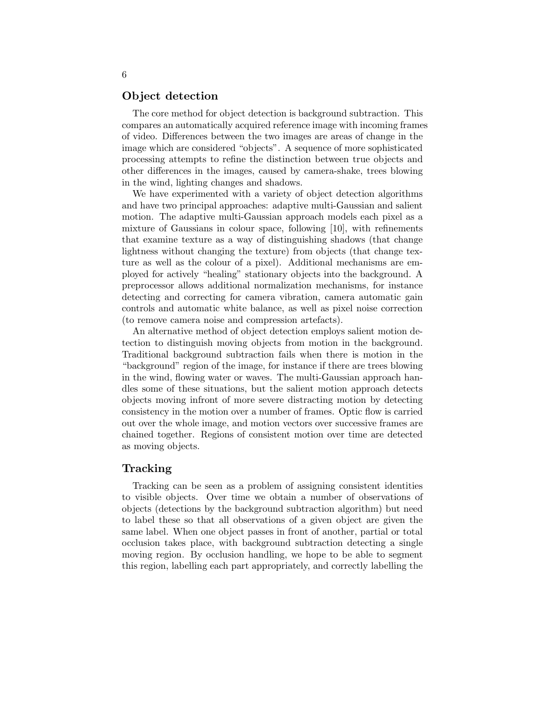#### Object detection

The core method for object detection is background subtraction. This compares an automatically acquired reference image with incoming frames of video. Differences between the two images are areas of change in the image which are considered "objects". A sequence of more sophisticated processing attempts to refine the distinction between true objects and other differences in the images, caused by camera-shake, trees blowing in the wind, lighting changes and shadows.

We have experimented with a variety of object detection algorithms and have two principal approaches: adaptive multi-Gaussian and salient motion. The adaptive multi-Gaussian approach models each pixel as a mixture of Gaussians in colour space, following [10], with refinements that examine texture as a way of distinguishing shadows (that change lightness without changing the texture) from objects (that change texture as well as the colour of a pixel). Additional mechanisms are employed for actively "healing" stationary objects into the background. A preprocessor allows additional normalization mechanisms, for instance detecting and correcting for camera vibration, camera automatic gain controls and automatic white balance, as well as pixel noise correction (to remove camera noise and compression artefacts).

An alternative method of object detection employs salient motion detection to distinguish moving objects from motion in the background. Traditional background subtraction fails when there is motion in the "background" region of the image, for instance if there are trees blowing in the wind, flowing water or waves. The multi-Gaussian approach handles some of these situations, but the salient motion approach detects objects moving infront of more severe distracting motion by detecting consistency in the motion over a number of frames. Optic flow is carried out over the whole image, and motion vectors over successive frames are chained together. Regions of consistent motion over time are detected as moving objects.

#### **Tracking**

Tracking can be seen as a problem of assigning consistent identities to visible objects. Over time we obtain a number of observations of objects (detections by the background subtraction algorithm) but need to label these so that all observations of a given object are given the same label. When one object passes in front of another, partial or total occlusion takes place, with background subtraction detecting a single moving region. By occlusion handling, we hope to be able to segment this region, labelling each part appropriately, and correctly labelling the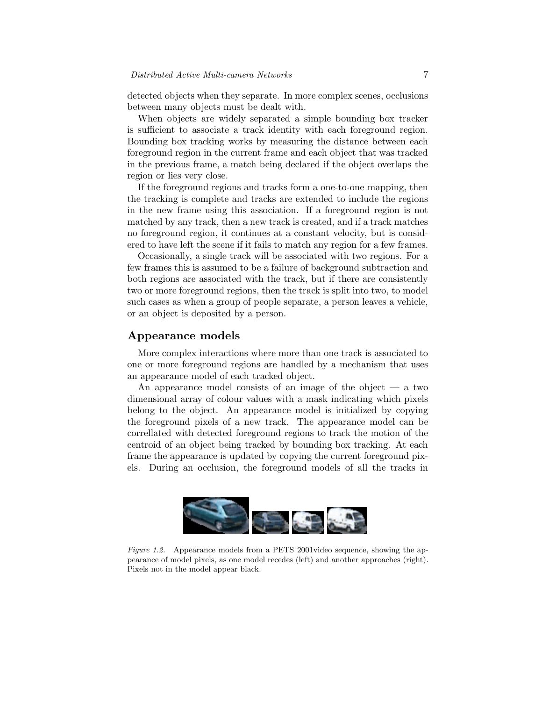detected objects when they separate. In more complex scenes, occlusions between many objects must be dealt with.

When objects are widely separated a simple bounding box tracker is sufficient to associate a track identity with each foreground region. Bounding box tracking works by measuring the distance between each foreground region in the current frame and each object that was tracked in the previous frame, a match being declared if the object overlaps the region or lies very close.

If the foreground regions and tracks form a one-to-one mapping, then the tracking is complete and tracks are extended to include the regions in the new frame using this association. If a foreground region is not matched by any track, then a new track is created, and if a track matches no foreground region, it continues at a constant velocity, but is considered to have left the scene if it fails to match any region for a few frames.

Occasionally, a single track will be associated with two regions. For a few frames this is assumed to be a failure of background subtraction and both regions are associated with the track, but if there are consistently two or more foreground regions, then the track is split into two, to model such cases as when a group of people separate, a person leaves a vehicle, or an object is deposited by a person.

#### Appearance models

More complex interactions where more than one track is associated to one or more foreground regions are handled by a mechanism that uses an appearance model of each tracked object.

An appearance model consists of an image of the object  $-$  a two dimensional array of colour values with a mask indicating which pixels belong to the object. An appearance model is initialized by copying the foreground pixels of a new track. The appearance model can be correllated with detected foreground regions to track the motion of the centroid of an object being tracked by bounding box tracking. At each frame the appearance is updated by copying the current foreground pixels. During an occlusion, the foreground models of all the tracks in



Figure 1.2. Appearance models from a PETS 2001video sequence, showing the appearance of model pixels, as one model recedes (left) and another approaches (right). Pixels not in the model appear black.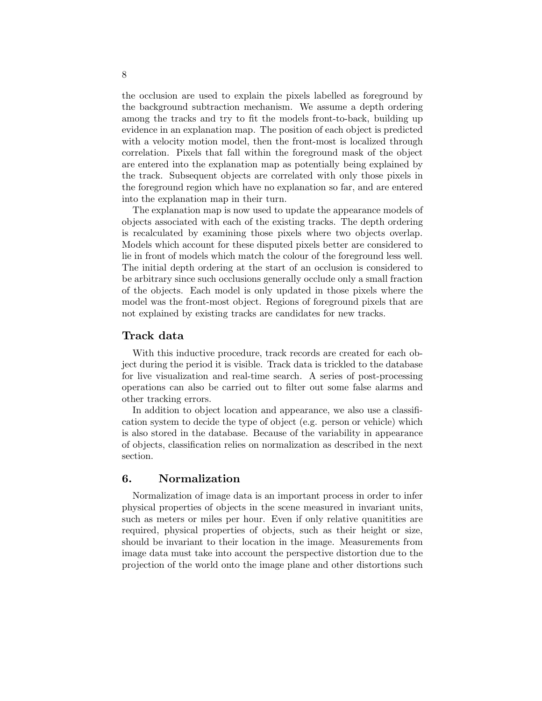the occlusion are used to explain the pixels labelled as foreground by the background subtraction mechanism. We assume a depth ordering among the tracks and try to fit the models front-to-back, building up evidence in an explanation map. The position of each object is predicted with a velocity motion model, then the front-most is localized through correlation. Pixels that fall within the foreground mask of the object are entered into the explanation map as potentially being explained by the track. Subsequent objects are correlated with only those pixels in the foreground region which have no explanation so far, and are entered into the explanation map in their turn.

The explanation map is now used to update the appearance models of objects associated with each of the existing tracks. The depth ordering is recalculated by examining those pixels where two objects overlap. Models which account for these disputed pixels better are considered to lie in front of models which match the colour of the foreground less well. The initial depth ordering at the start of an occlusion is considered to be arbitrary since such occlusions generally occlude only a small fraction of the objects. Each model is only updated in those pixels where the model was the front-most object. Regions of foreground pixels that are not explained by existing tracks are candidates for new tracks.

#### Track data

With this inductive procedure, track records are created for each object during the period it is visible. Track data is trickled to the database for live visualization and real-time search. A series of post-processing operations can also be carried out to filter out some false alarms and other tracking errors.

In addition to object location and appearance, we also use a classification system to decide the type of object (e.g. person or vehicle) which is also stored in the database. Because of the variability in appearance of objects, classification relies on normalization as described in the next section.

## 6. Normalization

Normalization of image data is an important process in order to infer physical properties of objects in the scene measured in invariant units, such as meters or miles per hour. Even if only relative quanitities are required, physical properties of objects, such as their height or size, should be invariant to their location in the image. Measurements from image data must take into account the perspective distortion due to the projection of the world onto the image plane and other distortions such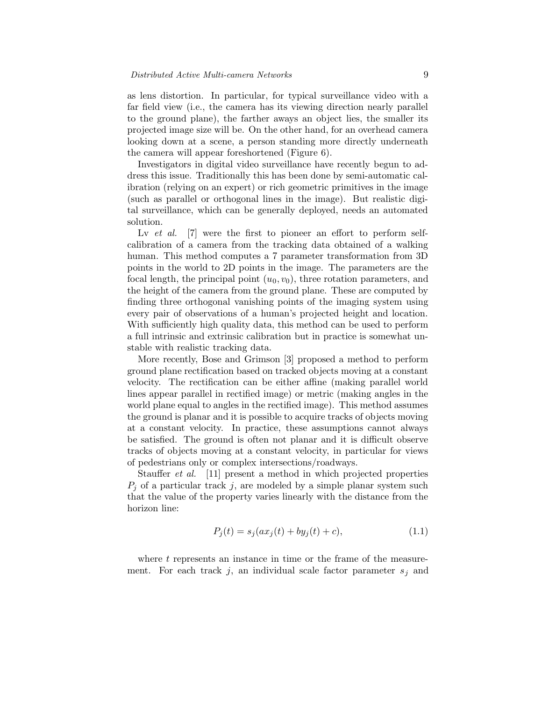as lens distortion. In particular, for typical surveillance video with a far field view (i.e., the camera has its viewing direction nearly parallel to the ground plane), the farther aways an object lies, the smaller its projected image size will be. On the other hand, for an overhead camera looking down at a scene, a person standing more directly underneath the camera will appear foreshortened (Figure 6).

Investigators in digital video surveillance have recently begun to address this issue. Traditionally this has been done by semi-automatic calibration (relying on an expert) or rich geometric primitives in the image (such as parallel or orthogonal lines in the image). But realistic digital surveillance, which can be generally deployed, needs an automated solution.

Lv *et al.* [7] were the first to pioneer an effort to perform selfcalibration of a camera from the tracking data obtained of a walking human. This method computes a 7 parameter transformation from 3D points in the world to 2D points in the image. The parameters are the focal length, the principal point  $(u_0, v_0)$ , three rotation parameters, and the height of the camera from the ground plane. These are computed by finding three orthogonal vanishing points of the imaging system using every pair of observations of a human's projected height and location. With sufficiently high quality data, this method can be used to perform a full intrinsic and extrinsic calibration but in practice is somewhat unstable with realistic tracking data.

More recently, Bose and Grimson [3] proposed a method to perform ground plane rectification based on tracked objects moving at a constant velocity. The rectification can be either affine (making parallel world lines appear parallel in rectified image) or metric (making angles in the world plane equal to angles in the rectified image). This method assumes the ground is planar and it is possible to acquire tracks of objects moving at a constant velocity. In practice, these assumptions cannot always be satisfied. The ground is often not planar and it is difficult observe tracks of objects moving at a constant velocity, in particular for views of pedestrians only or complex intersections/roadways.

Stauffer *et al.* [11] present a method in which projected properties  $P_j$  of a particular track j, are modeled by a simple planar system such that the value of the property varies linearly with the distance from the horizon line:

$$
P_j(t) = s_j(ax_j(t) + by_j(t) + c),
$$
\n(1.1)

where  $t$  represents an instance in time or the frame of the measurement. For each track j, an individual scale factor parameter  $s_j$  and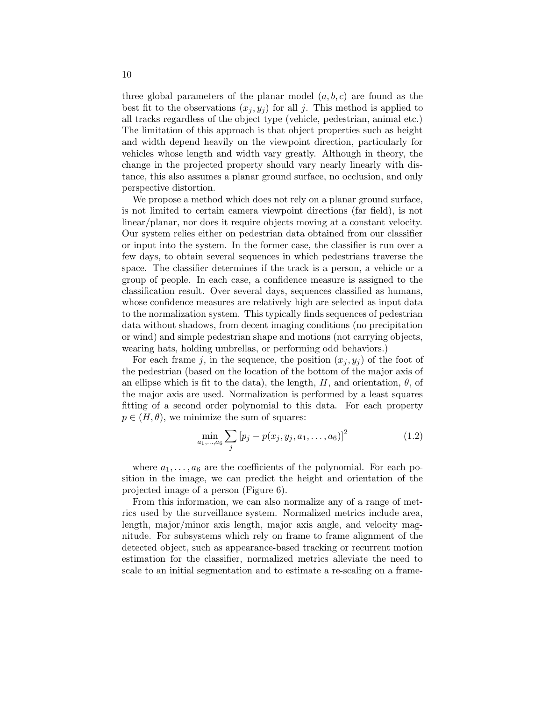three global parameters of the planar model  $(a, b, c)$  are found as the best fit to the observations  $(x_j, y_j)$  for all j. This method is applied to all tracks regardless of the object type (vehicle, pedestrian, animal etc.) The limitation of this approach is that object properties such as height and width depend heavily on the viewpoint direction, particularly for vehicles whose length and width vary greatly. Although in theory, the change in the projected property should vary nearly linearly with distance, this also assumes a planar ground surface, no occlusion, and only perspective distortion.

We propose a method which does not rely on a planar ground surface, is not limited to certain camera viewpoint directions (far field), is not linear/planar, nor does it require objects moving at a constant velocity. Our system relies either on pedestrian data obtained from our classifier or input into the system. In the former case, the classifier is run over a few days, to obtain several sequences in which pedestrians traverse the space. The classifier determines if the track is a person, a vehicle or a group of people. In each case, a confidence measure is assigned to the classification result. Over several days, sequences classified as humans, whose confidence measures are relatively high are selected as input data to the normalization system. This typically finds sequences of pedestrian data without shadows, from decent imaging conditions (no precipitation or wind) and simple pedestrian shape and motions (not carrying objects, wearing hats, holding umbrellas, or performing odd behaviors.)

For each frame j, in the sequence, the position  $(x_i, y_i)$  of the foot of the pedestrian (based on the location of the bottom of the major axis of an ellipse which is fit to the data), the length, H, and orientation,  $\theta$ , of the major axis are used. Normalization is performed by a least squares fitting of a second order polynomial to this data. For each property  $p \in (H, \theta)$ , we minimize the sum of squares:

$$
\min_{a_1,\dots,a_6} \sum_j \left[ p_j - p(x_j, y_j, a_1, \dots, a_6) \right]^2 \tag{1.2}
$$

where  $a_1, \ldots, a_6$  are the coefficients of the polynomial. For each position in the image, we can predict the height and orientation of the projected image of a person (Figure 6).

From this information, we can also normalize any of a range of metrics used by the surveillance system. Normalized metrics include area, length, major/minor axis length, major axis angle, and velocity magnitude. For subsystems which rely on frame to frame alignment of the detected object, such as appearance-based tracking or recurrent motion estimation for the classifier, normalized metrics alleviate the need to scale to an initial segmentation and to estimate a re-scaling on a frame-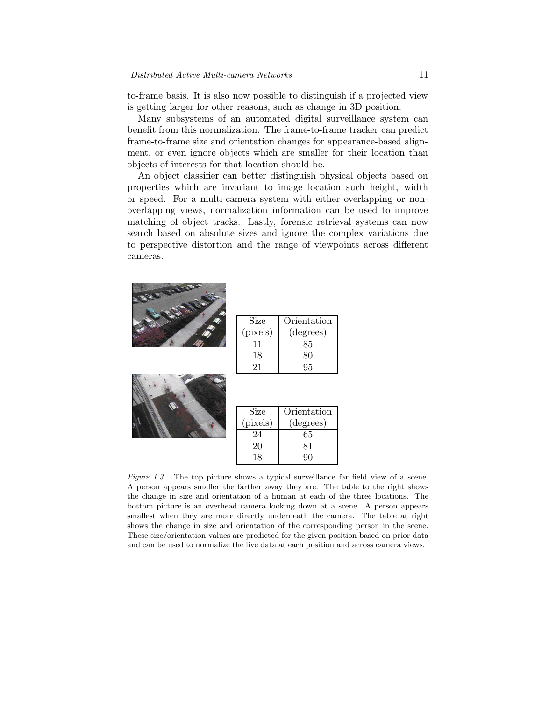to-frame basis. It is also now possible to distinguish if a projected view is getting larger for other reasons, such as change in 3D position.

Many subsystems of an automated digital surveillance system can benefit from this normalization. The frame-to-frame tracker can predict frame-to-frame size and orientation changes for appearance-based alignment, or even ignore objects which are smaller for their location than objects of interests for that location should be.

An object classifier can better distinguish physical objects based on properties which are invariant to image location such height, width or speed. For a multi-camera system with either overlapping or nonoverlapping views, normalization information can be used to improve matching of object tracks. Lastly, forensic retrieval systems can now search based on absolute sizes and ignore the complex variations due to perspective distortion and the range of viewpoints across different cameras.



| Size     | Orientation |
|----------|-------------|
| (pixels) | (degrees)   |
| 11       | 85          |
| 18       | 80          |
| 21       | 95          |



| Size     | Orientation |
|----------|-------------|
| (pixels) | (degrees)   |
| 24       | 65          |
| 20       | 81          |
| 18       | 90          |
|          |             |

Figure 1.3. The top picture shows a typical surveillance far field view of a scene. A person appears smaller the farther away they are. The table to the right shows the change in size and orientation of a human at each of the three locations. The bottom picture is an overhead camera looking down at a scene. A person appears smallest when they are more directly underneath the camera. The table at right shows the change in size and orientation of the corresponding person in the scene. These size/orientation values are predicted for the given position based on prior data and can be used to normalize the live data at each position and across camera views.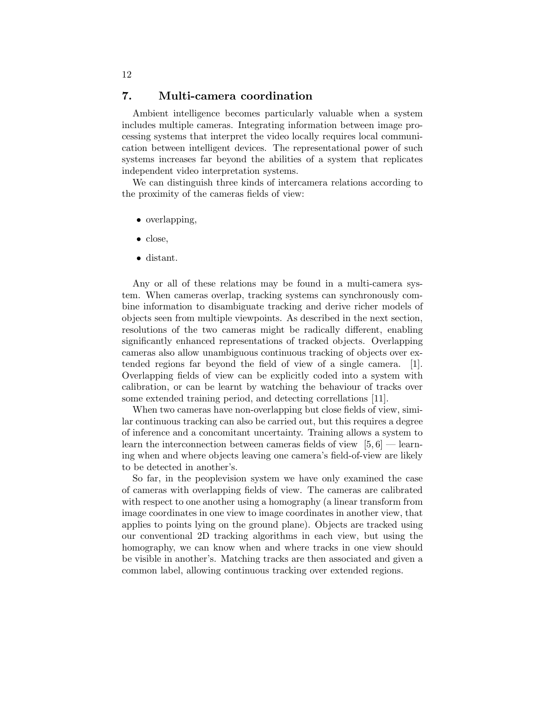#### 7. Multi-camera coordination

Ambient intelligence becomes particularly valuable when a system includes multiple cameras. Integrating information between image processing systems that interpret the video locally requires local communication between intelligent devices. The representational power of such systems increases far beyond the abilities of a system that replicates independent video interpretation systems.

We can distinguish three kinds of intercamera relations according to the proximity of the cameras fields of view:

- overlapping,
- close,
- distant.

Any or all of these relations may be found in a multi-camera system. When cameras overlap, tracking systems can synchronously combine information to disambiguate tracking and derive richer models of objects seen from multiple viewpoints. As described in the next section, resolutions of the two cameras might be radically different, enabling significantly enhanced representations of tracked objects. Overlapping cameras also allow unambiguous continuous tracking of objects over extended regions far beyond the field of view of a single camera. [1]. Overlapping fields of view can be explicitly coded into a system with calibration, or can be learnt by watching the behaviour of tracks over some extended training period, and detecting correllations [11].

When two cameras have non-overlapping but close fields of view, similar continuous tracking can also be carried out, but this requires a degree of inference and a concomitant uncertainty. Training allows a system to learn the interconnection between cameras fields of view  $[5, 6]$  — learning when and where objects leaving one camera's field-of-view are likely to be detected in another's.

So far, in the peoplevision system we have only examined the case of cameras with overlapping fields of view. The cameras are calibrated with respect to one another using a homography (a linear transform from image coordinates in one view to image coordinates in another view, that applies to points lying on the ground plane). Objects are tracked using our conventional 2D tracking algorithms in each view, but using the homography, we can know when and where tracks in one view should be visible in another's. Matching tracks are then associated and given a common label, allowing continuous tracking over extended regions.

12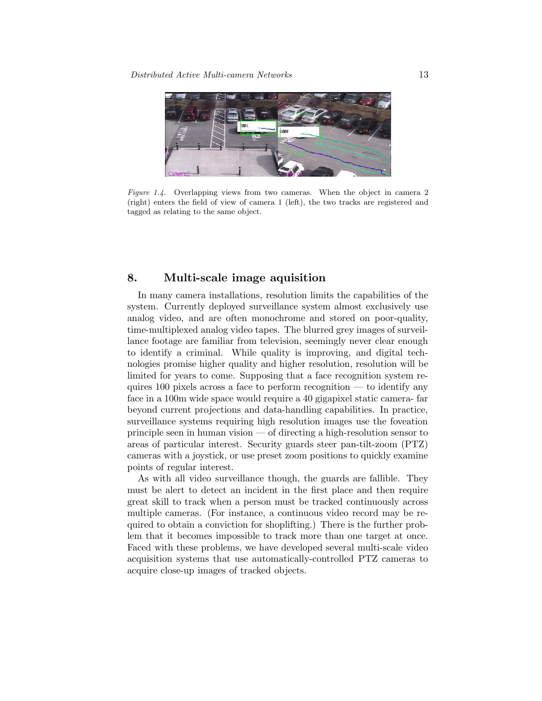

Figure 1.4. Overlapping views from two cameras. When the object in camera 2 (right) enters the field of view of camera 1 (left), the two tracks are registered and tagged as relating to the same object.

#### 8. Multi-scale image aquisition

In many camera installations, resolution limits the capabilities of the system. Currently deployed surveillance system almost exclusively use analog video, and are often monochrome and stored on poor-quality, time-multiplexed analog video tapes. The blurred grey images of surveillance footage are familiar from television, seemingly never clear enough to identify a criminal. While quality is improving, and digital technologies promise higher quality and higher resolution, resolution will be limited for years to come. Supposing that a face recognition system requires 100 pixels across a face to perform recognition  $-$  to identify any face in a 100m wide space would require a 40 gigapixel static camera- far beyond current projections and data-handling capabilities. In practice, surveillance systems requiring high resolution images use the foveation principle seen in human vision — of directing a high-resolution sensor to areas of particular interest. Security guards steer pan-tilt-zoom (PTZ) cameras with a joystick, or use preset zoom positions to quickly examine points of regular interest.

As with all video surveillance though, the guards are fallible. They must be alert to detect an incident in the first place and then require great skill to track when a person must be tracked continuously across multiple cameras. (For instance, a continuous video record may be required to obtain a conviction for shoplifting.) There is the further problem that it becomes impossible to track more than one target at once. Faced with these problems, we have developed several multi-scale video acquisition systems that use automatically-controlled PTZ cameras to acquire close-up images of tracked objects.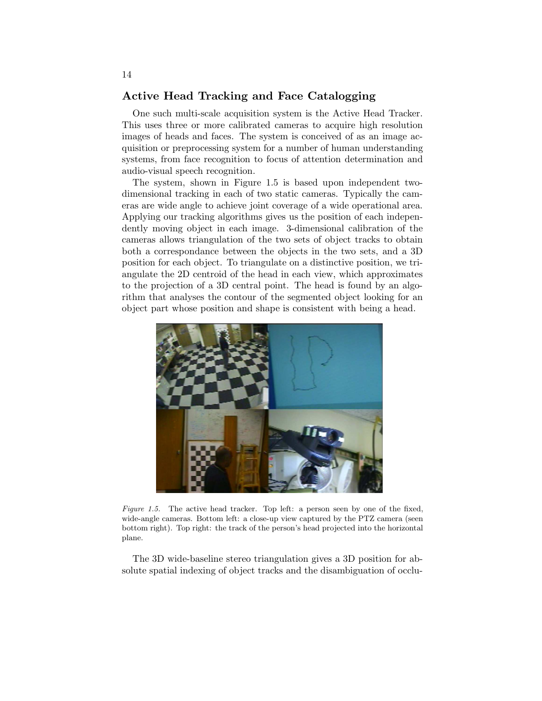## Active Head Tracking and Face Catalogging

One such multi-scale acquisition system is the Active Head Tracker. This uses three or more calibrated cameras to acquire high resolution images of heads and faces. The system is conceived of as an image acquisition or preprocessing system for a number of human understanding systems, from face recognition to focus of attention determination and audio-visual speech recognition.

The system, shown in Figure 1.5 is based upon independent twodimensional tracking in each of two static cameras. Typically the cameras are wide angle to achieve joint coverage of a wide operational area. Applying our tracking algorithms gives us the position of each independently moving object in each image. 3-dimensional calibration of the cameras allows triangulation of the two sets of object tracks to obtain both a correspondance between the objects in the two sets, and a 3D position for each object. To triangulate on a distinctive position, we triangulate the 2D centroid of the head in each view, which approximates to the projection of a 3D central point. The head is found by an algorithm that analyses the contour of the segmented object looking for an object part whose position and shape is consistent with being a head.



Figure 1.5. The active head tracker. Top left: a person seen by one of the fixed, wide-angle cameras. Bottom left: a close-up view captured by the PTZ camera (seen bottom right). Top right: the track of the person's head projected into the horizontal plane.

The 3D wide-baseline stereo triangulation gives a 3D position for absolute spatial indexing of object tracks and the disambiguation of occlu-

14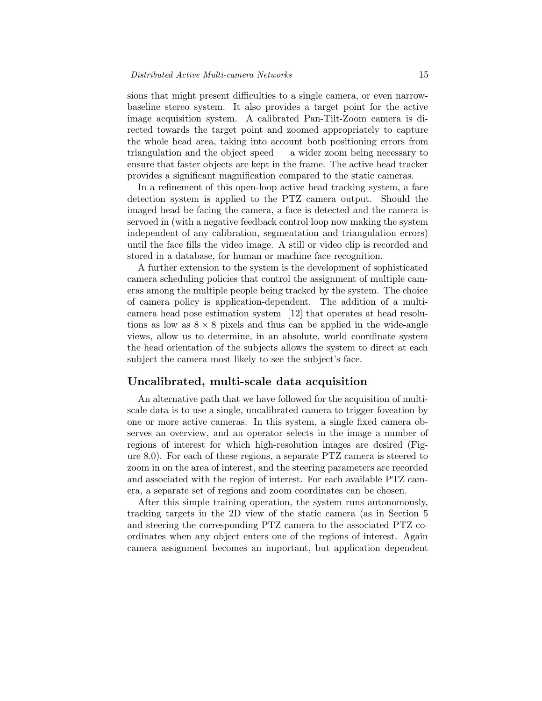sions that might present difficulties to a single camera, or even narrowbaseline stereo system. It also provides a target point for the active image acquisition system. A calibrated Pan-Tilt-Zoom camera is directed towards the target point and zoomed appropriately to capture the whole head area, taking into account both positioning errors from triangulation and the object speed — a wider zoom being necessary to ensure that faster objects are kept in the frame. The active head tracker provides a significant magnification compared to the static cameras.

In a refinement of this open-loop active head tracking system, a face detection system is applied to the PTZ camera output. Should the imaged head be facing the camera, a face is detected and the camera is servoed in (with a negative feedback control loop now making the system independent of any calibration, segmentation and triangulation errors) until the face fills the video image. A still or video clip is recorded and stored in a database, for human or machine face recognition.

A further extension to the system is the development of sophisticated camera scheduling policies that control the assignment of multiple cameras among the multiple people being tracked by the system. The choice of camera policy is application-dependent. The addition of a multicamera head pose estimation system [12] that operates at head resolutions as low as  $8 \times 8$  pixels and thus can be applied in the wide-angle views, allow us to determine, in an absolute, world coordinate system the head orientation of the subjects allows the system to direct at each subject the camera most likely to see the subject's face.

#### Uncalibrated, multi-scale data acquisition

An alternative path that we have followed for the acquisition of multiscale data is to use a single, uncalibrated camera to trigger foveation by one or more active cameras. In this system, a single fixed camera observes an overview, and an operator selects in the image a number of regions of interest for which high-resolution images are desired (Figure 8.0). For each of these regions, a separate PTZ camera is steered to zoom in on the area of interest, and the steering parameters are recorded and associated with the region of interest. For each available PTZ camera, a separate set of regions and zoom coordinates can be chosen.

After this simple training operation, the system runs autonomously, tracking targets in the 2D view of the static camera (as in Section 5 and steering the corresponding PTZ camera to the associated PTZ coordinates when any object enters one of the regions of interest. Again camera assignment becomes an important, but application dependent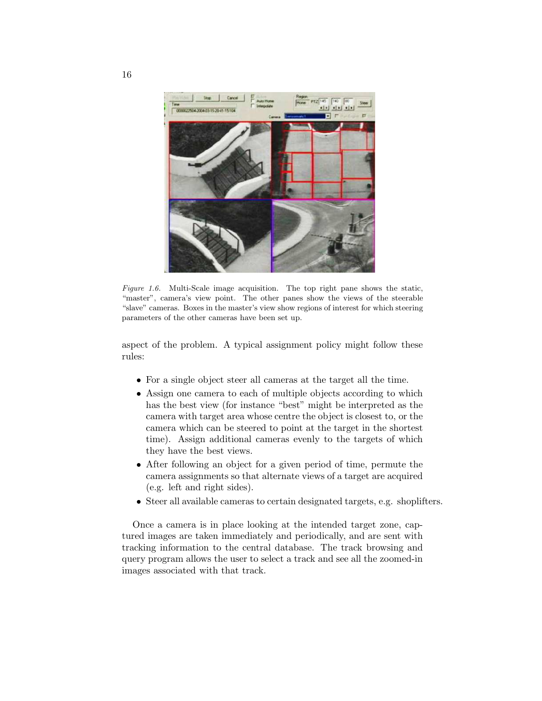

Figure 1.6. Multi-Scale image acquisition. The top right pane shows the static, "master", camera's view point. The other panes show the views of the steerable "slave" cameras. Boxes in the master's view show regions of interest for which steering parameters of the other cameras have been set up.

aspect of the problem. A typical assignment policy might follow these rules:

- For a single object steer all cameras at the target all the time.
- Assign one camera to each of multiple objects according to which has the best view (for instance "best" might be interpreted as the camera with target area whose centre the object is closest to, or the camera which can be steered to point at the target in the shortest time). Assign additional cameras evenly to the targets of which they have the best views.
- After following an object for a given period of time, permute the camera assignments so that alternate views of a target are acquired (e.g. left and right sides).
- Steer all available cameras to certain designated targets, e.g. shoplifters.

Once a camera is in place looking at the intended target zone, captured images are taken immediately and periodically, and are sent with tracking information to the central database. The track browsing and query program allows the user to select a track and see all the zoomed-in images associated with that track.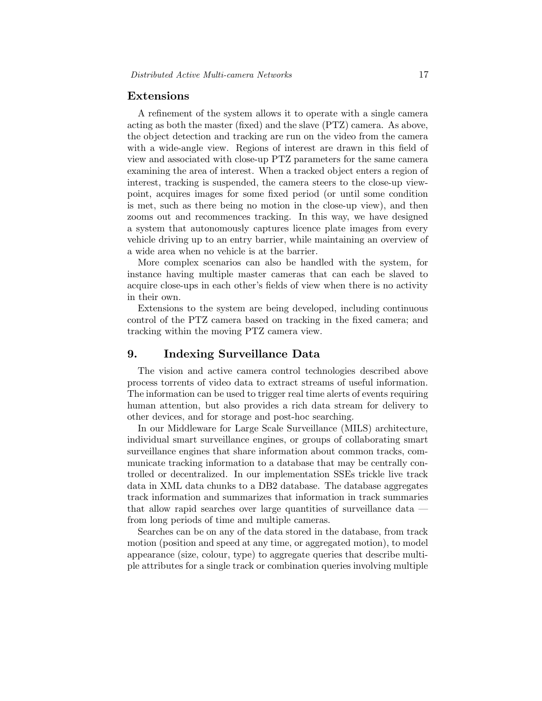#### Extensions

A refinement of the system allows it to operate with a single camera acting as both the master (fixed) and the slave (PTZ) camera. As above, the object detection and tracking are run on the video from the camera with a wide-angle view. Regions of interest are drawn in this field of view and associated with close-up PTZ parameters for the same camera examining the area of interest. When a tracked object enters a region of interest, tracking is suspended, the camera steers to the close-up viewpoint, acquires images for some fixed period (or until some condition is met, such as there being no motion in the close-up view), and then zooms out and recommences tracking. In this way, we have designed a system that autonomously captures licence plate images from every vehicle driving up to an entry barrier, while maintaining an overview of a wide area when no vehicle is at the barrier.

More complex scenarios can also be handled with the system, for instance having multiple master cameras that can each be slaved to acquire close-ups in each other's fields of view when there is no activity in their own.

Extensions to the system are being developed, including continuous control of the PTZ camera based on tracking in the fixed camera; and tracking within the moving PTZ camera view.

#### 9. Indexing Surveillance Data

The vision and active camera control technologies described above process torrents of video data to extract streams of useful information. The information can be used to trigger real time alerts of events requiring human attention, but also provides a rich data stream for delivery to other devices, and for storage and post-hoc searching.

In our Middleware for Large Scale Surveillance (MILS) architecture, individual smart surveillance engines, or groups of collaborating smart surveillance engines that share information about common tracks, communicate tracking information to a database that may be centrally controlled or decentralized. In our implementation SSEs trickle live track data in XML data chunks to a DB2 database. The database aggregates track information and summarizes that information in track summaries that allow rapid searches over large quantities of surveillance data from long periods of time and multiple cameras.

Searches can be on any of the data stored in the database, from track motion (position and speed at any time, or aggregated motion), to model appearance (size, colour, type) to aggregate queries that describe multiple attributes for a single track or combination queries involving multiple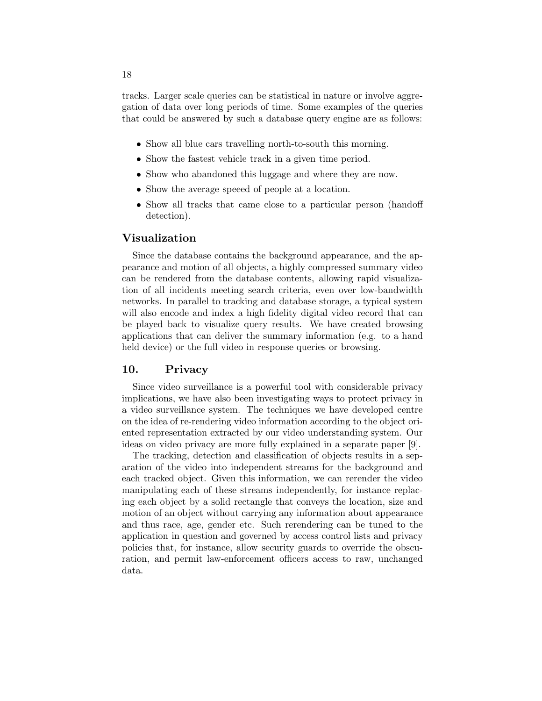tracks. Larger scale queries can be statistical in nature or involve aggregation of data over long periods of time. Some examples of the queries that could be answered by such a database query engine are as follows:

- Show all blue cars travelling north-to-south this morning.
- Show the fastest vehicle track in a given time period.
- Show who abandoned this luggage and where they are now.
- Show the average speeed of people at a location.
- Show all tracks that came close to a particular person (handoff detection).

#### Visualization

Since the database contains the background appearance, and the appearance and motion of all objects, a highly compressed summary video can be rendered from the database contents, allowing rapid visualization of all incidents meeting search criteria, even over low-bandwidth networks. In parallel to tracking and database storage, a typical system will also encode and index a high fidelity digital video record that can be played back to visualize query results. We have created browsing applications that can deliver the summary information (e.g. to a hand held device) or the full video in response queries or browsing.

## 10. Privacy

Since video surveillance is a powerful tool with considerable privacy implications, we have also been investigating ways to protect privacy in a video surveillance system. The techniques we have developed centre on the idea of re-rendering video information according to the object oriented representation extracted by our video understanding system. Our ideas on video privacy are more fully explained in a separate paper [9].

The tracking, detection and classification of objects results in a separation of the video into independent streams for the background and each tracked object. Given this information, we can rerender the video manipulating each of these streams independently, for instance replacing each object by a solid rectangle that conveys the location, size and motion of an object without carrying any information about appearance and thus race, age, gender etc. Such rerendering can be tuned to the application in question and governed by access control lists and privacy policies that, for instance, allow security guards to override the obscuration, and permit law-enforcement officers access to raw, unchanged data.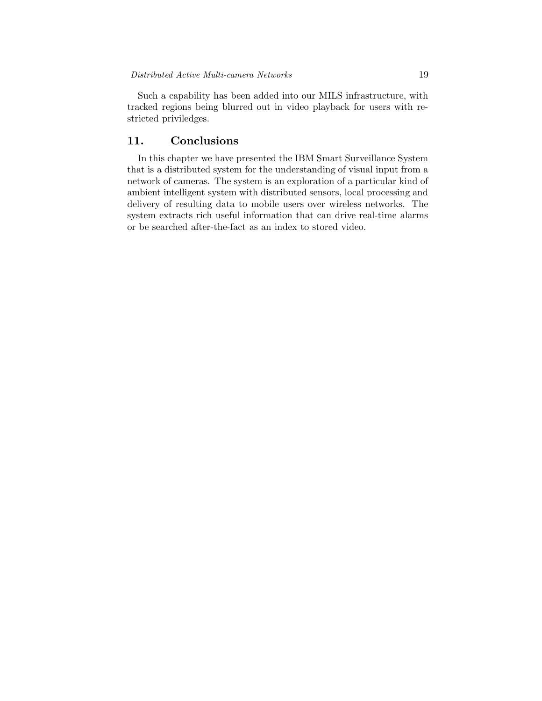Such a capability has been added into our MILS infrastructure, with tracked regions being blurred out in video playback for users with restricted priviledges.

## 11. Conclusions

In this chapter we have presented the IBM Smart Surveillance System that is a distributed system for the understanding of visual input from a network of cameras. The system is an exploration of a particular kind of ambient intelligent system with distributed sensors, local processing and delivery of resulting data to mobile users over wireless networks. The system extracts rich useful information that can drive real-time alarms or be searched after-the-fact as an index to stored video.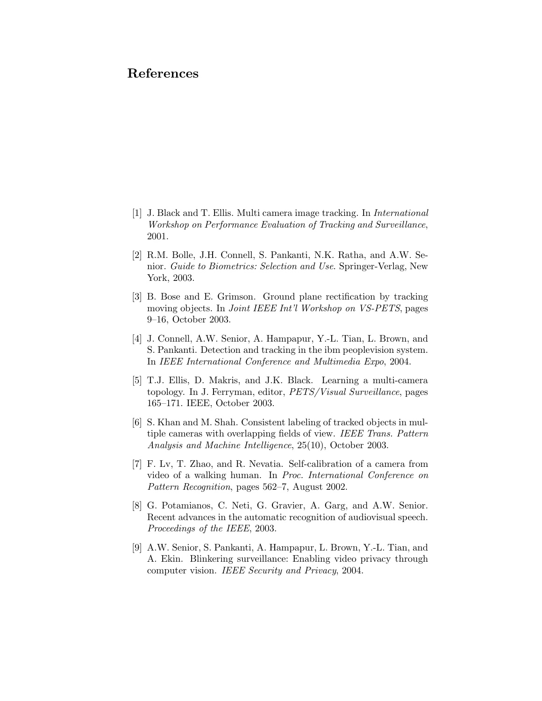# References

- [1] J. Black and T. Ellis. Multi camera image tracking. In International Workshop on Performance Evaluation of Tracking and Surveillance, 2001.
- [2] R.M. Bolle, J.H. Connell, S. Pankanti, N.K. Ratha, and A.W. Senior. Guide to Biometrics: Selection and Use. Springer-Verlag, New York, 2003.
- [3] B. Bose and E. Grimson. Ground plane rectification by tracking moving objects. In *Joint IEEE Int'l Workshop on VS-PETS*, pages 9–16, October 2003.
- [4] J. Connell, A.W. Senior, A. Hampapur, Y.-L. Tian, L. Brown, and S. Pankanti. Detection and tracking in the ibm peoplevision system. In IEEE International Conference and Multimedia Expo, 2004.
- [5] T.J. Ellis, D. Makris, and J.K. Black. Learning a multi-camera topology. In J. Ferryman, editor, PETS/Visual Surveillance, pages 165–171. IEEE, October 2003.
- [6] S. Khan and M. Shah. Consistent labeling of tracked objects in multiple cameras with overlapping fields of view. IEEE Trans. Pattern Analysis and Machine Intelligence, 25(10), October 2003.
- [7] F. Lv, T. Zhao, and R. Nevatia. Self-calibration of a camera from video of a walking human. In Proc. International Conference on Pattern Recognition, pages 562–7, August 2002.
- [8] G. Potamianos, C. Neti, G. Gravier, A. Garg, and A.W. Senior. Recent advances in the automatic recognition of audiovisual speech. Proceedings of the IEEE, 2003.
- [9] A.W. Senior, S. Pankanti, A. Hampapur, L. Brown, Y.-L. Tian, and A. Ekin. Blinkering surveillance: Enabling video privacy through computer vision. IEEE Security and Privacy, 2004.